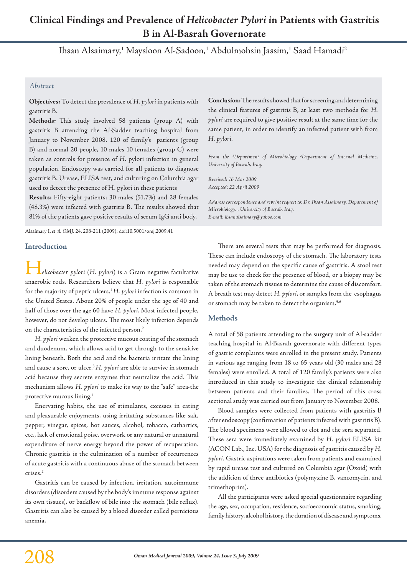# **Clinical Findings and Prevalence of** *Helicobacter Pylori* **in Patients with Gastritis B in Al-Basrah Governorate**

Ihsan Alsaimary,<sup>1</sup> Maysloon Al-Sadoon,<sup>1</sup> Abdulmohsin Jassim,<sup>1</sup> Saad Hamadi<sup>2</sup>

# *Abstract*

**Objectives:** To detect the prevalence of *H. pylori* in patients with gastritis B.

**Methods:** This study involved 58 patients (group A) with gastritis B attending the Al-Sadder teaching hospital from January to November 2008. 120 of family's patients (group B) and normal 20 people, 10 males 10 females (group C) were taken as controls for presence of *H*. pylori infection in general population. Endoscopy was carried for all patients to diagnose gastritis B. Urease, ELISA test, and culturing on Columbia agar used to detect the presence of H. pylori in these patients

**Results:** Fifty-eight patients; 30 males (51.7%) and 28 females (48.3%) were infected with gastritis B. The results showed that 81% of the patients gave positive results of serum IgG anti body.

Alsaimary I, *et al. OMJ.* 24, 208-211 (2009); doi:10.5001/omj.2009.41

## **Introduction**

H*elicobacter pylori* (*H. pylori*) is a Gram negative facultative anaerobic rods. Researchers believe that *H. pylori* is responsible for the majority of peptic ulcers.1 *H. pylori* infection is common in the United States. About 20% of people under the age of 40 and half of those over the age 60 have *H. pylori*. Most infected people, however, do not develop ulcers. The most likely infection depends on the characteristics of the infected person.2

*H. pylori* weaken the protective mucous coating of the stomach and duodenum, which allows acid to get through to the sensitive lining beneath. Both the acid and the bacteria irritate the lining and cause a sore, or ulcer.<sup>3</sup> H. pylori are able to survive in stomach acid because they secrete enzymes that neutralize the acid. This mechanism allows *H. pylori* to make its way to the "safe" area-the protective mucous lining.4

Enervating habits, the use of stimulants, excesses in eating and pleasurable enjoyments, using irritating substances like salt, pepper, vinegar, spices, hot sauces, alcohol, tobacco, cathartics, etc., lack of emotional poise, overwork or any natural or unnatural expenditure of nerve energy beyond the power of recuperation. Chronic gastritis is the culmination of a number of recurrences of acute gastritis with a continuous abuse of the stomach between crises.2

Gastritis can be caused by infection, irritation, autoimmune disorders (disorders caused by the body's immune response against its own tissues), or backflow of bile into the stomach (bile reflux). Gastritis can also be caused by a blood disorder called pernicious anemia.<sup>1</sup>

**Conclusion:** The results showed that for screening and determining the clinical features of gastritis B, at least two methods for *H. pylori* are required to give positive result at the same time for the same patient, in order to identify an infected patient with from *H. pylori*.

*From the 1 Department of Microbiology 2 Department of Internal Medicine, University of Basrah, Iraq.*

*Received: 16 Mar 2009 Accepted: 22 April 2009*

*Address correspondence and reprint request to: Dr. Ihsan Alsaimary, Department of Microbiology, , University of Basrah, Iraq. E-mail: ihsanalsaimary@yahoo.com*

There are several tests that may be performed for diagnosis. These can include endoscopy of the stomach. The laboratory tests needed may depend on the specific cause of gastritis. A stool test may be use to check for the presence of blood, or a biopsy may be taken of the stomach tissues to determine the cause of discomfort. A breath test may detect *H. pylori*, or samples from the esophagus or stomach may be taken to detect the organism.<sup>5,6</sup>

# **Methods**

A total of 58 patients attending to the surgery unit of Al-sadder teaching hospital in Al-Basrah governorate with different types of gastric complaints were enrolled in the present study. Patients in various age ranging from 18 to 65 years old (30 males and 28 females) were enrolled. A total of 120 family's patients were also introduced in this study to investigate the clinical relationship between patients and their families. The period of this cross sectional study was carried out from January to November 2008.

Blood samples were collected from patients with gastritis B after endoscopy (confirmation of patients infected with gastritis B). The blood specimens were allowed to clot and the sera separated. These sera were immediately examined by *H. pylori* ELISA kit (ACON Lab., Inc. USA) for the diagnosis of gastritis caused by *H. pylori.* Gastric aspirations were taken from patients and examined by rapid urease test and cultured on Columbia agar (Oxoid) with the addition of three antibiotics (polymyxine B, vancomycin, and trimethoprim).

All the participants were asked special questionnaire regarding the age, sex, occupation, residence, socioeconomic status, smoking, family history, alcohol history, the duration of disease and symptoms,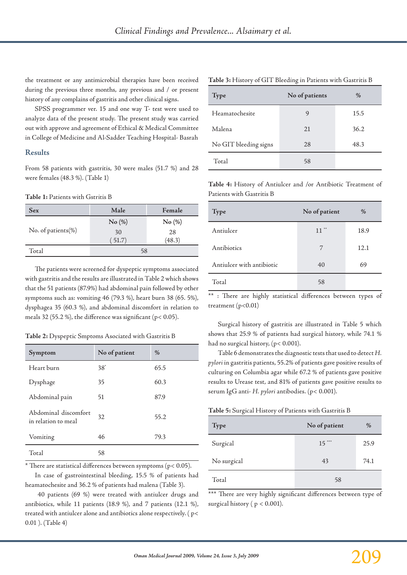the treatment or any antimicrobial therapies have been received during the previous three months, any previous and / or present history of any complains of gastritis and other clinical signs.

SPSS programmer ver. 15 and one way T- test were used to analyze data of the present study. The present study was carried out with approve and agreement of Ethical & Medical Committee in College of Medicine and Al-Sadder Teaching Hospital- Basrah

#### **Results**

From 58 patients with gastritis, 30 were males (51.7 %) and 28 were females (48.3 %). (Table 1)

#### **Table 1:** Patients with Gstritis B

| <b>Sex</b>         | Male   | Female |  |
|--------------------|--------|--------|--|
| No. of patients(%) | No (%) | No (%) |  |
|                    | 30     | 28     |  |
|                    | (51.7) | (48.3) |  |
| Total              | 58     |        |  |

The patients were screened for dyspeptic symptoms associated with gastritis and the results are illustrated in Table 2 which shows that the 51 patients (87.9%) had abdominal pain followed by other symptoms such as: vomiting 46 (79.3 %), heart burn 38 (65. 5%), dysphagea 35 (60.3 %), and abdominal discomfort in relation to meals 32 (55.2 %), the difference was significant (p< 0.05).

#### **Table 2:** Dyspeptic Smptoms Asociated with Gastritis B

| Symptom                                     | No of patient | $\%$ |
|---------------------------------------------|---------------|------|
| Heart burn                                  | $38^*$        | 65.5 |
| Dysphage                                    | 35            | 60.3 |
| Abdominal pain                              | 51            | 87.9 |
| Abdominal discomfort<br>in relation to meal | 32            | 55.2 |
| Vomiting                                    | 46            | 79.3 |
| Total                                       | 58            |      |

\* There are statistical differences between symptoms (p< 0.05).

In case of gastrointestinal bleeding, 15.5 % of patients had heamatochesite and 36.2 % of patients had malena (Table 3).

 40 patients (69 %) were treated with antiulcer drugs and antibiotics, while 11 patients (18.9 %), and 7 patients (12.1 %), treated with antiulcer alone and antibiotics alone respectively. ( p< 0.01 ). (Table 4)

| <b>Type</b>           | No of patients | $\%$ |
|-----------------------|----------------|------|
| Heamatochesite        | 9              | 15.5 |
| Malena                | 21             | 36.2 |
| No GIT bleeding signs | 28             | 48.3 |
| Total                 | 58             |      |

**Table 3:** History of GIT Bleeding in Patients with Gastritis B

**Table 4:** History of Antiulcer and /or Antibiotic Treatment of Patients with Gastritis B

| Type                      | No of patient | $\%$ |
|---------------------------|---------------|------|
| Antiulcer                 | $11$ **       | 18.9 |
| Antibiotics               | 7             | 12.1 |
| Antiulcer with antibiotic | 40            | 69   |
| Total                     | 58            |      |

\*\* : There are highly statistical differences between types of treatment  $(p<0.01)$ 

Surgical history of gastritis are illustrated in Table 5 which shows that 25.9 % of patients had surgical history, while 74.1 % had no surgical history, (p< 0.001).

Table 6 demonstrates the diagnostic tests that used to detect *H. pylori* in gastritis patients, 55.2% of patients gave positive results of culturing on Columbia agar while 67.2 % of patients gave positive results to Urease test, and 81% of patients gave positive results to serum IgG anti- *H. pylori* antibodies. (p< 0.001).

| Table 5: Surgical History of Patients with Gastritis B |  |  |
|--------------------------------------------------------|--|--|
|--------------------------------------------------------|--|--|

| Type        | No of patient | %    |
|-------------|---------------|------|
| Surgical    | $15***$       | 25.9 |
| No surgical | 43            | 74.1 |
| Total       | 58            |      |

\*\*\* There are very highly significant differences between type of surgical history ( $p < 0.001$ ).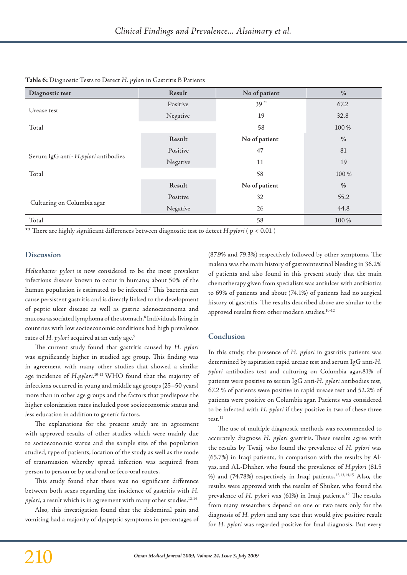| Diagnostic test                     | Result   | No of patient | $\frac{0}{0}$ |
|-------------------------------------|----------|---------------|---------------|
| Urease test                         | Positive | $39**$        | 67.2          |
|                                     | Negative | 19            | 32.8          |
| Total                               |          | 58            | 100 %         |
|                                     | Result   | No of patient | $\frac{0}{0}$ |
| Serum IgG anti- H.pylori antibodies | Positive | 47            | 81            |
|                                     | Negative | 11            | 19            |
| Total                               |          | 58            | 100 %         |
|                                     | Result   | No of patient | $\frac{0}{0}$ |
| Culturing on Columbia agar          | Positive | 32            | 55.2          |
|                                     | Negative | 26            | 44.8          |
| Total                               |          | 58            | 100 %         |

### **Table 6:** Diagnostic Tests to Detect *H. pylori* in Gastritis B Patients

**\*\*** There are highly significant differences between diagnostic test to detect *H.pylori* ( p < 0.01 )

#### **Discussion**

*Helicobacter pylori* is now considered to be the most prevalent infectious disease known to occur in humans; about 50% of the human population is estimated to be infected.7 This bacteria can cause persistent gastritis and is directly linked to the development of peptic ulcer disease as well as gastric adenocarcinoma and mucosa-associated lymphoma of the stomach.8 Individuals living in countries with low socioeconomic conditions had high prevalence rates of *H. pylori* acquired at an early age.9

The current study found that gastritis caused by *H. pylori* was significantly higher in studied age group. This finding was in agreement with many other studies that showed a similar age incidence of *H.pylori*. 10-12 WHO found that the majority of infections occurred in young and middle age groups (25–50 years) more than in other age groups and the factors that predispose the higher colonization rates included poor socioeconomic status and less education in addition to genetic factors.

The explanations for the present study are in agreement with approved results of other studies which were mainly due to socioeconomic status and the sample size of the population studied, type of patients, location of the study as well as the mode of transmission whereby spread infection was acquired from person to person or by oral-oral or feco-oral routes.

This study found that there was no significant difference between both sexes regarding the incidence of gastritis with *H. pylori*, a result which is in agreement with many other studies.<sup>12-14</sup>

Also, this investigation found that the abdominal pain and vomiting had a majority of dyspeptic symptoms in percentages of (87.9% and 79.3%) respectively followed by other symptoms. The malena was the main history of gastrointestinal bleeding in 36.2% of patients and also found in this present study that the main chemotherapy given from specialists was antiulcer with antibiotics to 69% of patients and about (74.1%) of patients had no surgical history of gastritis. The results described above are similar to the approved results from other modern studies.10-12

## **Conclusion**

In this study, the presence of *H. pylori* in gastritis patients was determined by aspiration rapid urease test and serum IgG anti-*H. pylori* antibodies test and culturing on Columbia agar.81% of patients were positive to serum IgG anti-*H. pylori* antibodies test, 67.2 % of patients were positive in rapid urease test and 52.2% of patients were positive on Columbia agar. Patients was considered to be infected with *H. pylori* if they positive in two of these three test.12

The use of multiple diagnostic methods was recommended to accurately diagnose *H. pylori* gastritis. These results agree with the results by Twaij, who found the prevalence of *H. pylori* was (65.7%) in Iraqi patients, in comparison with the results by Alyas, and AL-Dhaher, who found the prevalence of *H.pylori* (81.5 %) and (74.78%) respectively in Iraqi patients.12,13,14,15 Also, the results were approved with the results of Shuker, who found the prevalence of *H. pylori* was (61%) in Iraqi patients.<sup>12</sup> The results from many researchers depend on one or two tests only for the diagnosis of *H. pylori* and any test that would give positive result for *H. pylori* was regarded positive for final diagnosis. But every